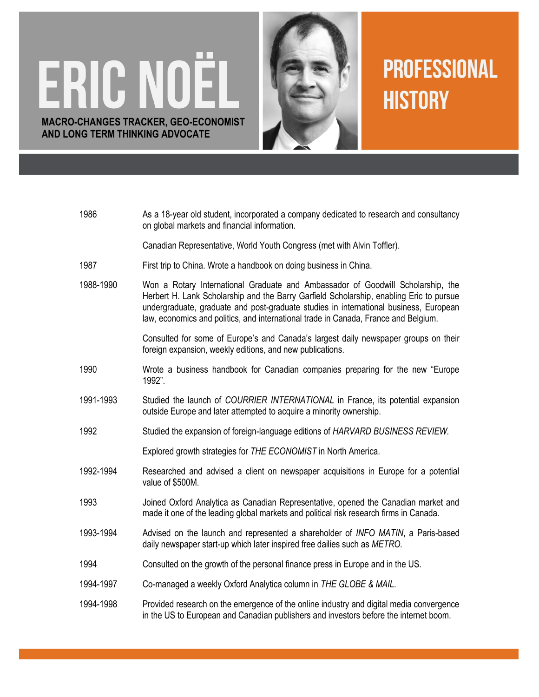## ERIC NOËL **MACRO-CHANGES TRACKER, GEO-ECONOMIST AND LONG TERM THINKING ADVOCATE**



## **PROFESSIONAL HISTORY**

| 1986      | As a 18-year old student, incorporated a company dedicated to research and consultancy<br>on global markets and financial information.                                                                                                                                                                                                                     |
|-----------|------------------------------------------------------------------------------------------------------------------------------------------------------------------------------------------------------------------------------------------------------------------------------------------------------------------------------------------------------------|
|           | Canadian Representative, World Youth Congress (met with Alvin Toffler).                                                                                                                                                                                                                                                                                    |
| 1987      | First trip to China. Wrote a handbook on doing business in China.                                                                                                                                                                                                                                                                                          |
| 1988-1990 | Won a Rotary International Graduate and Ambassador of Goodwill Scholarship, the<br>Herbert H. Lank Scholarship and the Barry Garfield Scholarship, enabling Eric to pursue<br>undergraduate, graduate and post-graduate studies in international business, European<br>law, economics and politics, and international trade in Canada, France and Belgium. |
|           | Consulted for some of Europe's and Canada's largest daily newspaper groups on their<br>foreign expansion, weekly editions, and new publications.                                                                                                                                                                                                           |
| 1990      | Wrote a business handbook for Canadian companies preparing for the new "Europe"<br>1992".                                                                                                                                                                                                                                                                  |
| 1991-1993 | Studied the launch of COURRIER INTERNATIONAL in France, its potential expansion<br>outside Europe and later attempted to acquire a minority ownership.                                                                                                                                                                                                     |
| 1992      | Studied the expansion of foreign-language editions of HARVARD BUSINESS REVIEW.                                                                                                                                                                                                                                                                             |
|           | Explored growth strategies for THE ECONOMIST in North America.                                                                                                                                                                                                                                                                                             |
| 1992-1994 | Researched and advised a client on newspaper acquisitions in Europe for a potential<br>value of \$500M.                                                                                                                                                                                                                                                    |
| 1993      | Joined Oxford Analytica as Canadian Representative, opened the Canadian market and<br>made it one of the leading global markets and political risk research firms in Canada.                                                                                                                                                                               |
| 1993-1994 | Advised on the launch and represented a shareholder of INFO MATIN, a Paris-based<br>daily newspaper start-up which later inspired free dailies such as METRO.                                                                                                                                                                                              |
| 1994      | Consulted on the growth of the personal finance press in Europe and in the US.                                                                                                                                                                                                                                                                             |
| 1994-1997 | Co-managed a weekly Oxford Analytica column in THE GLOBE & MAIL.                                                                                                                                                                                                                                                                                           |
| 1994-1998 | Provided research on the emergence of the online industry and digital media convergence<br>in the US to European and Canadian publishers and investors before the internet boom.                                                                                                                                                                           |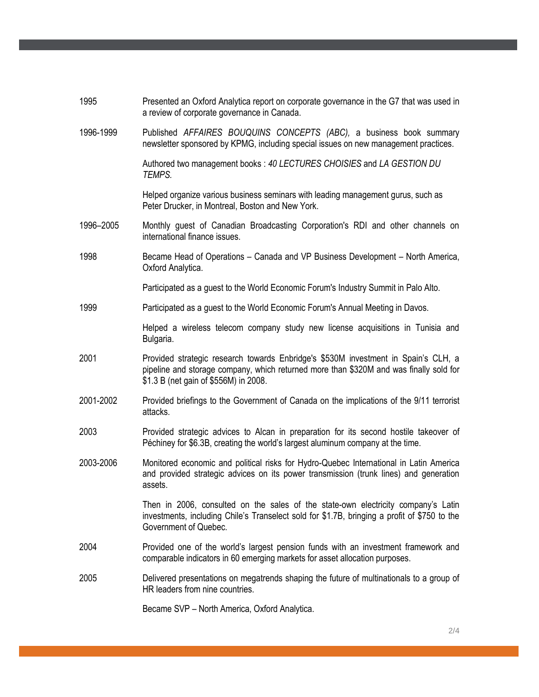| 1995      | Presented an Oxford Analytica report on corporate governance in the G7 that was used in<br>a review of corporate governance in Canada.                                                                                |
|-----------|-----------------------------------------------------------------------------------------------------------------------------------------------------------------------------------------------------------------------|
| 1996-1999 | Published AFFAIRES BOUQUINS CONCEPTS (ABC), a business book summary<br>newsletter sponsored by KPMG, including special issues on new management practices.                                                            |
|           | Authored two management books: 40 LECTURES CHOISIES and LA GESTION DU<br>TEMPS.                                                                                                                                       |
|           | Helped organize various business seminars with leading management gurus, such as<br>Peter Drucker, in Montreal, Boston and New York.                                                                                  |
| 1996-2005 | Monthly guest of Canadian Broadcasting Corporation's RDI and other channels on<br>international finance issues.                                                                                                       |
| 1998      | Became Head of Operations – Canada and VP Business Development – North America,<br>Oxford Analytica.                                                                                                                  |
|           | Participated as a guest to the World Economic Forum's Industry Summit in Palo Alto.                                                                                                                                   |
| 1999      | Participated as a guest to the World Economic Forum's Annual Meeting in Davos.                                                                                                                                        |
|           | Helped a wireless telecom company study new license acquisitions in Tunisia and<br>Bulgaria.                                                                                                                          |
| 2001      | Provided strategic research towards Enbridge's \$530M investment in Spain's CLH, a<br>pipeline and storage company, which returned more than \$320M and was finally sold for<br>\$1.3 B (net gain of \$556M) in 2008. |
| 2001-2002 | Provided briefings to the Government of Canada on the implications of the 9/11 terrorist<br>attacks.                                                                                                                  |
| 2003      | Provided strategic advices to Alcan in preparation for its second hostile takeover of<br>Péchiney for \$6.3B, creating the world's largest aluminum company at the time.                                              |
| 2003-2006 | Monitored economic and political risks for Hydro-Quebec International in Latin America<br>and provided strategic advices on its power transmission (trunk lines) and generation<br>assets.                            |
|           | Then in 2006, consulted on the sales of the state-own electricity company's Latin<br>investments, including Chile's Transelect sold for \$1.7B, bringing a profit of \$750 to the<br>Government of Quebec.            |
| 2004      | Provided one of the world's largest pension funds with an investment framework and<br>comparable indicators in 60 emerging markets for asset allocation purposes.                                                     |
| 2005      | Delivered presentations on megatrends shaping the future of multinationals to a group of<br>HR leaders from nine countries.                                                                                           |
|           | Became SVP - North America, Oxford Analytica.                                                                                                                                                                         |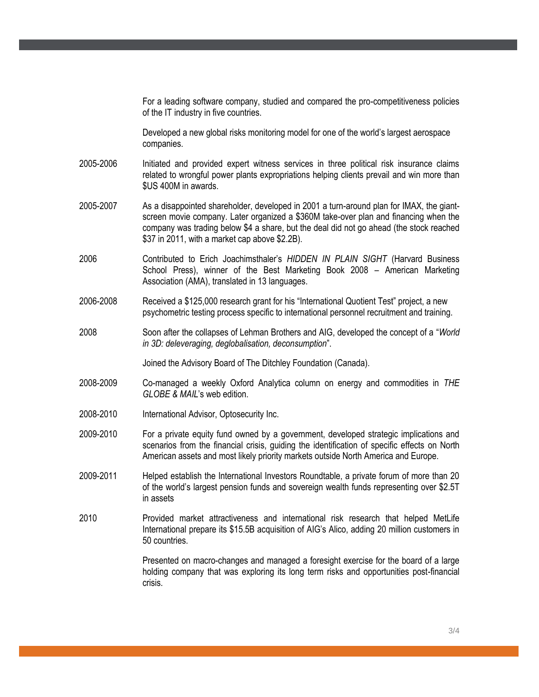For a leading software company, studied and compared the pro-competitiveness policies of the IT industry in five countries. Developed a new global risks monitoring model for one of the world's largest aerospace companies. 2005-2006 Initiated and provided expert witness services in three political risk insurance claims related to wrongful power plants expropriations helping clients prevail and win more than \$US 400M in awards. 2005-2007 As a disappointed shareholder, developed in 2001 a turn-around plan for IMAX, the giantscreen movie company. Later organized a \$360M take-over plan and financing when the company was trading below \$4 a share, but the deal did not go ahead (the stock reached \$37 in 2011, with a market cap above \$2.2B). 2006 Contributed to Erich Joachimsthaler's *HIDDEN IN PLAIN SIGHT* (Harvard Business School Press), winner of the Best Marketing Book 2008 – American Marketing Association (AMA), translated in 13 languages. 2006-2008 Received a \$125,000 research grant for his "International Quotient Test" project, a new psychometric testing process specific to international personnel recruitment and training. 2008 Soon after the collapses of Lehman Brothers and AIG, developed the concept of a "*World in 3D: deleveraging, deglobalisation, deconsumption*". Joined the Advisory Board of The Ditchley Foundation (Canada). 2008-2009 Co-managed a weekly Oxford Analytica column on energy and commodities in *THE GLOBE & MAIL*'s web edition. 2008-2010 International Advisor, Optosecurity Inc. 2009-2010 For a private equity fund owned by a government, developed strategic implications and scenarios from the financial crisis, guiding the identification of specific effects on North American assets and most likely priority markets outside North America and Europe. 2009-2011 Helped establish the International Investors Roundtable, a private forum of more than 20 of the world's largest pension funds and sovereign wealth funds representing over \$2.5T in assets 2010 Provided market attractiveness and international risk research that helped MetLife International prepare its \$15.5B acquisition of AIG's Alico, adding 20 million customers in 50 countries. Presented on macro-changes and managed a foresight exercise for the board of a large holding company that was exploring its long term risks and opportunities post-financial crisis.